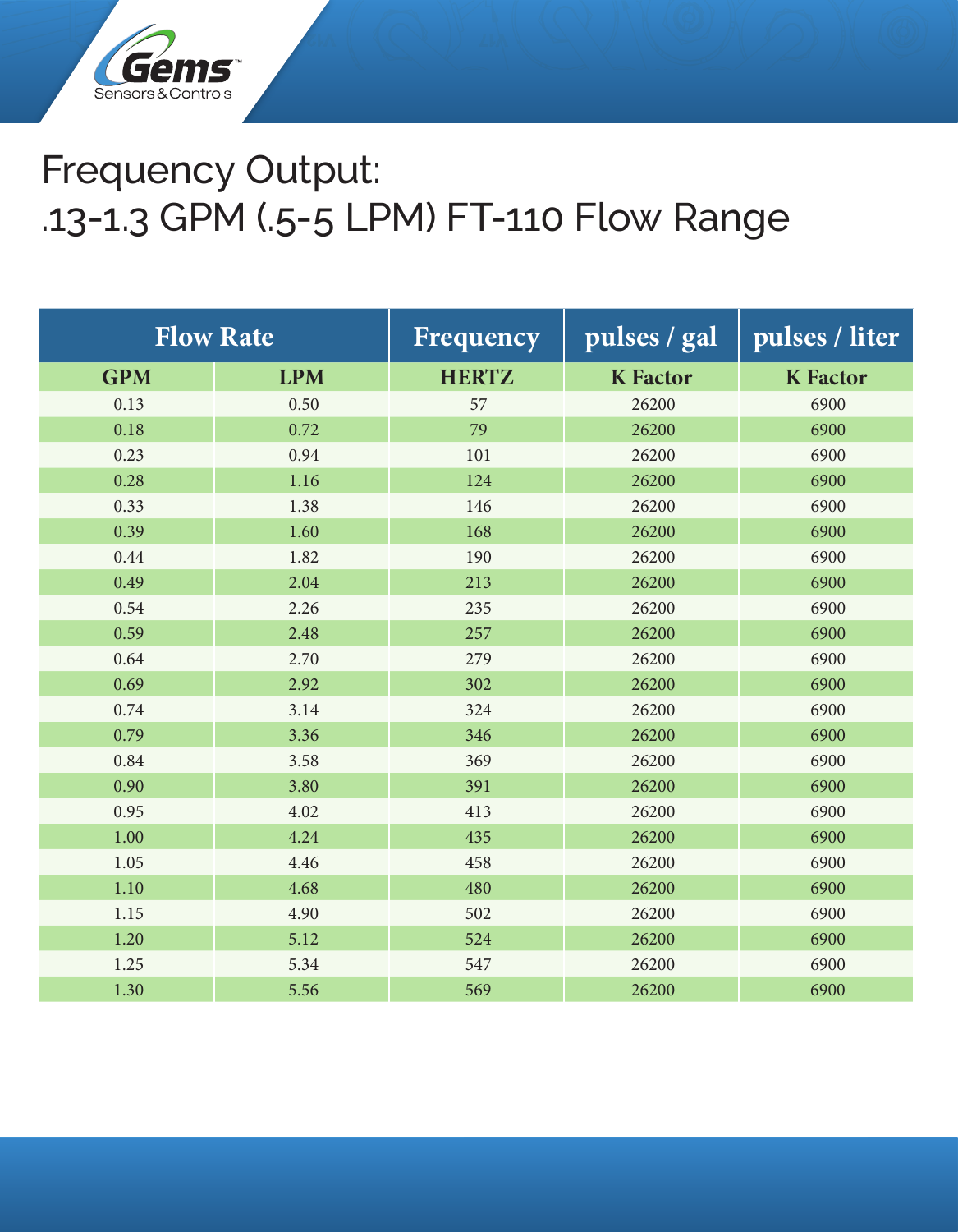

## Frequency Output: .13-1.3 GPM (.5-5 LPM) FT-110 Flow Range

| <b>Flow Rate</b> |            | Frequency    | pulses / gal    | pulses / liter  |
|------------------|------------|--------------|-----------------|-----------------|
| <b>GPM</b>       | <b>LPM</b> | <b>HERTZ</b> | <b>K</b> Factor | <b>K</b> Factor |
| 0.13             | 0.50       | 57           | 26200           | 6900            |
| 0.18             | 0.72       | 79           | 26200           | 6900            |
| 0.23             | 0.94       | 101          | 26200           | 6900            |
| 0.28             | 1.16       | 124          | 26200           | 6900            |
| 0.33             | 1.38       | 146          | 26200           | 6900            |
| 0.39             | 1.60       | 168          | 26200           | 6900            |
| 0.44             | 1.82       | 190          | 26200           | 6900            |
| 0.49             | 2.04       | 213          | 26200           | 6900            |
| 0.54             | 2.26       | 235          | 26200           | 6900            |
| 0.59             | 2.48       | 257          | 26200           | 6900            |
| 0.64             | 2.70       | 279          | 26200           | 6900            |
| 0.69             | 2.92       | 302          | 26200           | 6900            |
| 0.74             | 3.14       | 324          | 26200           | 6900            |
| 0.79             | 3.36       | 346          | 26200           | 6900            |
| 0.84             | 3.58       | 369          | 26200           | 6900            |
| 0.90             | 3.80       | 391          | 26200           | 6900            |
| 0.95             | 4.02       | 413          | 26200           | 6900            |
| 1.00             | 4.24       | 435          | 26200           | 6900            |
| 1.05             | 4.46       | 458          | 26200           | 6900            |
| 1.10             | 4.68       | 480          | 26200           | 6900            |
| 1.15             | 4.90       | 502          | 26200           | 6900            |
| 1.20             | 5.12       | 524          | 26200           | 6900            |
| 1.25             | 5.34       | 547          | 26200           | 6900            |
| 1.30             | 5.56       | 569          | 26200           | 6900            |